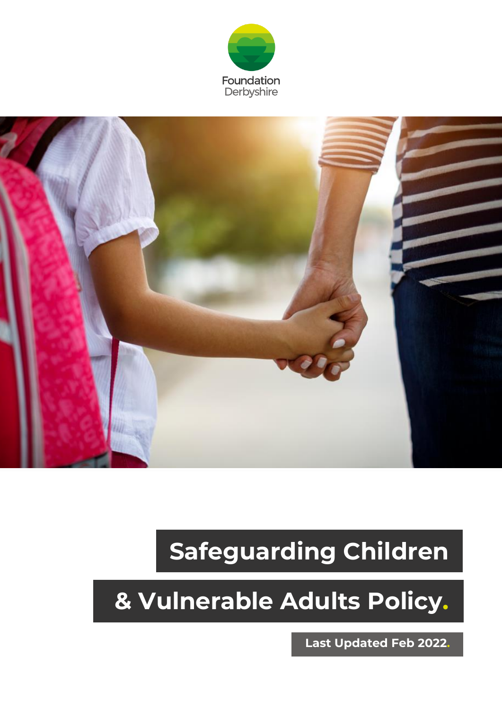



# **Safeguarding Children**

## **& Vulnerable Adults Policy.**

**Last Updated Feb 2022.**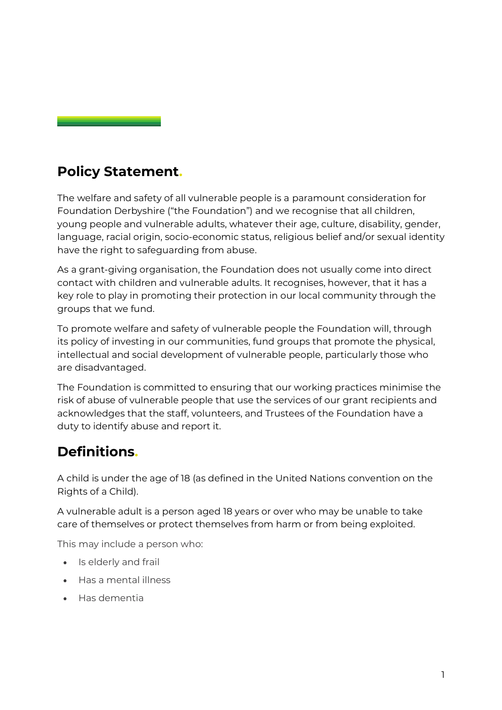### **Policy Statement.**

The welfare and safety of all vulnerable people is a paramount consideration for Foundation Derbyshire ("the Foundation") and we recognise that all children, young people and vulnerable adults, whatever their age, culture, disability, gender, language, racial origin, socio-economic status, religious belief and/or sexual identity have the right to safeguarding from abuse.

As a grant-giving organisation, the Foundation does not usually come into direct contact with children and vulnerable adults. It recognises, however, that it has a key role to play in promoting their protection in our local community through the groups that we fund.

To promote welfare and safety of vulnerable people the Foundation will, through its policy of investing in our communities, fund groups that promote the physical, intellectual and social development of vulnerable people, particularly those who are disadvantaged.

The Foundation is committed to ensuring that our working practices minimise the risk of abuse of vulnerable people that use the services of our grant recipients and acknowledges that the staff, volunteers, and Trustees of the Foundation have a duty to identify abuse and report it.

## **Definitions.**

A child is under the age of 18 (as defined in the United Nations convention on the Rights of a Child).

A vulnerable adult is a person aged 18 years or over who may be unable to take care of themselves or protect themselves from harm or from being exploited.

This may include a person who:

- Is elderly and frail
- Has a mental illness
- Has dementia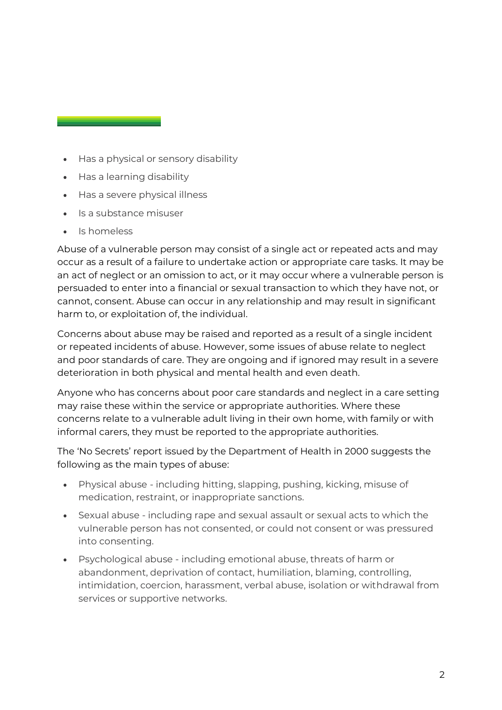- Has a physical or sensory disability
- Has a learning disability
- Has a severe physical illness
- Is a substance misuser
- Is homeless

Abuse of a vulnerable person may consist of a single act or repeated acts and may occur as a result of a failure to undertake action or appropriate care tasks. It may be an act of neglect or an omission to act, or it may occur where a vulnerable person is persuaded to enter into a financial or sexual transaction to which they have not, or cannot, consent. Abuse can occur in any relationship and may result in significant harm to, or exploitation of, the individual.

Concerns about abuse may be raised and reported as a result of a single incident or repeated incidents of abuse. However, some issues of abuse relate to neglect and poor standards of care. They are ongoing and if ignored may result in a severe deterioration in both physical and mental health and even death.

Anyone who has concerns about poor care standards and neglect in a care setting may raise these within the service or appropriate authorities. Where these concerns relate to a vulnerable adult living in their own home, with family or with informal carers, they must be reported to the appropriate authorities.

The 'No Secrets' report issued by the Department of Health in 2000 suggests the following as the main types of abuse:

- Physical abuse including hitting, slapping, pushing, kicking, misuse of medication, restraint, or inappropriate sanctions.
- Sexual abuse including rape and sexual assault or sexual acts to which the vulnerable person has not consented, or could not consent or was pressured into consenting.
- Psychological abuse including emotional abuse, threats of harm or abandonment, deprivation of contact, humiliation, blaming, controlling, intimidation, coercion, harassment, verbal abuse, isolation or withdrawal from services or supportive networks.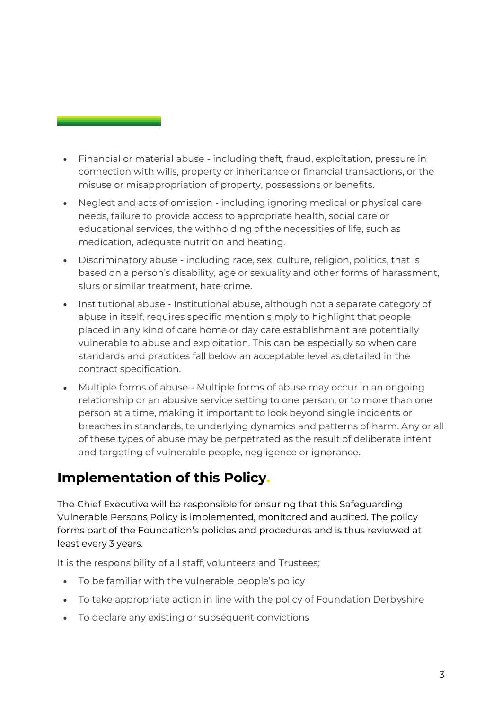- Financial or material abuse including theft, fraud, exploitation, pressure in connection with wills, property or inheritance or financial transactions, or the misuse or misappropriation of property, possessions or benefits.
- Neglect and acts of omission including ignoring medical or physical care needs, failure to provide access to appropriate health, social care or educational services, the withholding of the necessities of life, such as medication, adequate nutrition and heating.
- Discriminatory abuse including race, sex, culture, religion, politics, that is based on a person's disability, age or sexuality and other forms of harassment, slurs or similar treatment, hate crime.
- Institutional abuse Institutional abuse, although not a separate category of abuse in itself, requires specific mention simply to highlight that people placed in any kind of care home or day care establishment are potentially vulnerable to abuse and exploitation. This can be especially so when care standards and practices fall below an acceptable level as detailed in the contract specification.
- Multiple forms of abuse Multiple forms of abuse may occur in an ongoing relationship or an abusive service setting to one person, or to more than one person at a time, making it important to look beyond single incidents or breaches in standards, to underlying dynamics and patterns of harm. Any or all of these types of abuse may be perpetrated as the result of deliberate intent and targeting of vulnerable people, negligence or ignorance.

## **Implementation of this Policy.**

The Chief Executive will be responsible for ensuring that this Safeguarding Vulnerable Persons Policy is implemented, monitored and audited. The policy forms part of the Foundation's policies and procedures and is thus reviewed at least every 3 years.

It is the responsibility of all staff, volunteers and Trustees:

- To be familiar with the vulnerable people's policy
- To take appropriate action in line with the policy of Foundation Derbyshire
- To declare any existing or subsequent convictions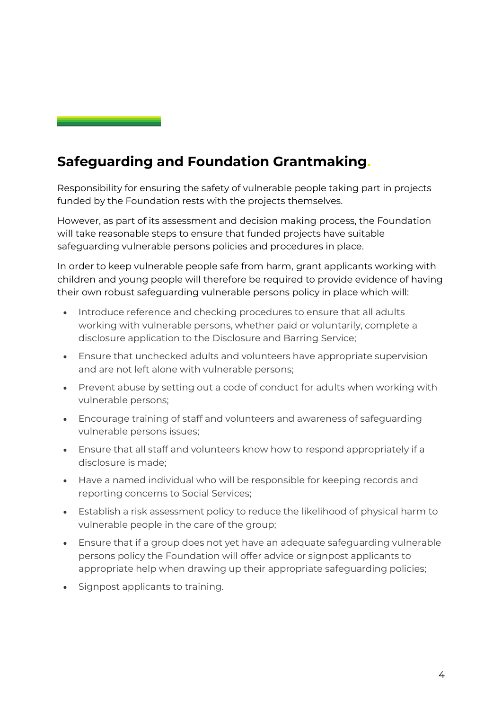## **Safeguarding and Foundation Grantmaking.**

Responsibility for ensuring the safety of vulnerable people taking part in projects funded by the Foundation rests with the projects themselves.

However, as part of its assessment and decision making process, the Foundation will take reasonable steps to ensure that funded projects have suitable safeguarding vulnerable persons policies and procedures in place.

In order to keep vulnerable people safe from harm, grant applicants working with children and young people will therefore be required to provide evidence of having their own robust safeguarding vulnerable persons policy in place which will:

- Introduce reference and checking procedures to ensure that all adults working with vulnerable persons, whether paid or voluntarily, complete a disclosure application to the Disclosure and Barring Service;
- Ensure that unchecked adults and volunteers have appropriate supervision and are not left alone with vulnerable persons;
- Prevent abuse by setting out a code of conduct for adults when working with vulnerable persons;
- Encourage training of staff and volunteers and awareness of safeguarding vulnerable persons issues;
- Ensure that all staff and volunteers know how to respond appropriately if a disclosure is made;
- Have a named individual who will be responsible for keeping records and reporting concerns to Social Services;
- Establish a risk assessment policy to reduce the likelihood of physical harm to vulnerable people in the care of the group;
- Ensure that if a group does not yet have an adequate safeguarding vulnerable persons policy the Foundation will offer advice or signpost applicants to appropriate help when drawing up their appropriate safeguarding policies;
- Signpost applicants to training.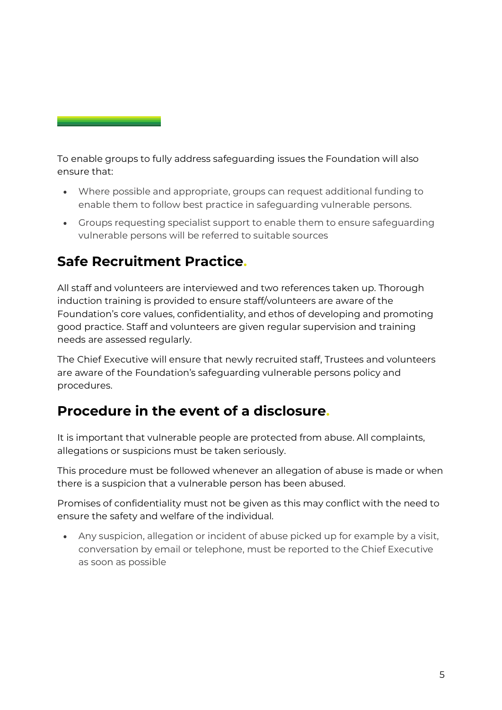To enable groups to fully address safeguarding issues the Foundation will also ensure that:

- Where possible and appropriate, groups can request additional funding to enable them to follow best practice in safeguarding vulnerable persons.
- Groups requesting specialist support to enable them to ensure safeguarding vulnerable persons will be referred to suitable sources

### **Safe Recruitment Practice.**

All staff and volunteers are interviewed and two references taken up. Thorough induction training is provided to ensure staff/volunteers are aware of the Foundation's core values, confidentiality, and ethos of developing and promoting good practice. Staff and volunteers are given regular supervision and training needs are assessed regularly.

The Chief Executive will ensure that newly recruited staff, Trustees and volunteers are aware of the Foundation's safeguarding vulnerable persons policy and procedures.

#### **Procedure in the event of a disclosure.**

It is important that vulnerable people are protected from abuse. All complaints, allegations or suspicions must be taken seriously.

This procedure must be followed whenever an allegation of abuse is made or when there is a suspicion that a vulnerable person has been abused.

Promises of confidentiality must not be given as this may conflict with the need to ensure the safety and welfare of the individual.

• Any suspicion, allegation or incident of abuse picked up for example by a visit, conversation by email or telephone, must be reported to the Chief Executive as soon as possible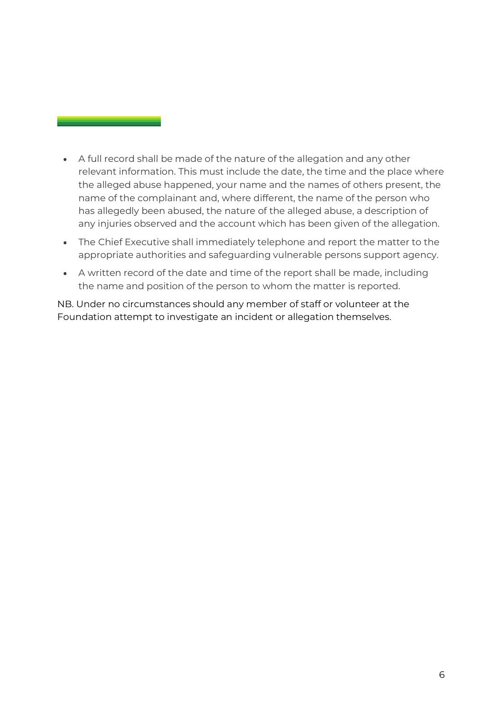- A full record shall be made of the nature of the allegation and any other relevant information. This must include the date, the time and the place where the alleged abuse happened, your name and the names of others present, the name of the complainant and, where different, the name of the person who has allegedly been abused, the nature of the alleged abuse, a description of any injuries observed and the account which has been given of the allegation.
- The Chief Executive shall immediately telephone and report the matter to the appropriate authorities and safeguarding vulnerable persons support agency.
- A written record of the date and time of the report shall be made, including the name and position of the person to whom the matter is reported.

NB. Under no circumstances should any member of staff or volunteer at the Foundation attempt to investigate an incident or allegation themselves.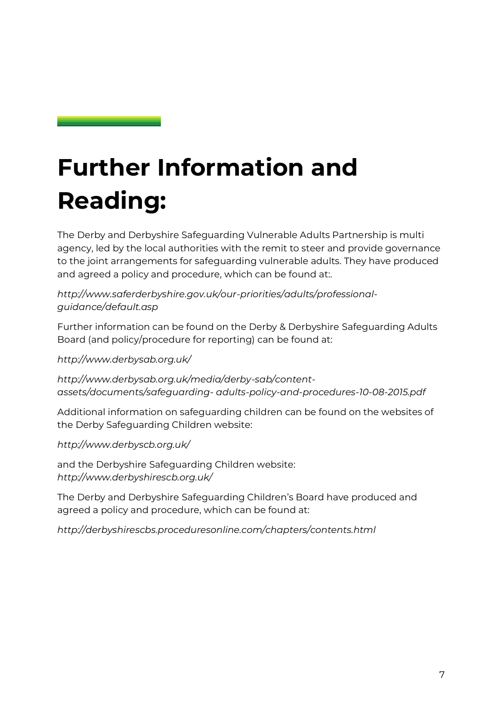## **Further Information and Reading:**

The Derby and Derbyshire Safeguarding Vulnerable Adults Partnership is multi agency, led by the local authorities with the remit to steer and provide governance to the joint arrangements for safeguarding vulnerable adults. They have produced and agreed a policy and procedure, which can be found at..

*[http://www.saferderbyshire.gov.uk/our-priorities/adults/professional](http://www.saferderbyshire.gov.uk/our-priorities/adults/professional-guidance/default.asp)[guidance/default.asp](http://www.saferderbyshire.gov.uk/our-priorities/adults/professional-guidance/default.asp)*

Further information can be found on the Derby & Derbyshire Safeguarding Adults Board (and policy/procedure for reporting) can be found at:

*<http://www.derbysab.org.uk/>*

*[http://www.derbysab.org.uk/media/derby-sab/content](http://www.derbysab.org.uk/media/derby-sab/content-assets/documents/safeguarding-adults-policy-and-procedures-10-08-2015.pdf)[assets/documents/safeguarding-](http://www.derbysab.org.uk/media/derby-sab/content-assets/documents/safeguarding-adults-policy-and-procedures-10-08-2015.pdf) [adults-policy-and-procedures-10-08-2015.pdf](http://www.derbysab.org.uk/media/derby-sab/content-assets/documents/safeguarding-adults-policy-and-procedures-10-08-2015.pdf)*

Additional information on safeguarding children can be found on the websites of the Derby Safeguarding Children website:

*<http://www.derbyscb.org.uk/>*

and the Derbyshire Safeguarding Children website: *<http://www.derbyshirescb.org.uk/>*

The Derby and Derbyshire Safeguarding Children's Board have produced and agreed a policy and procedure, which can be found at:

*<http://derbyshirescbs.proceduresonline.com/chapters/contents.html>*